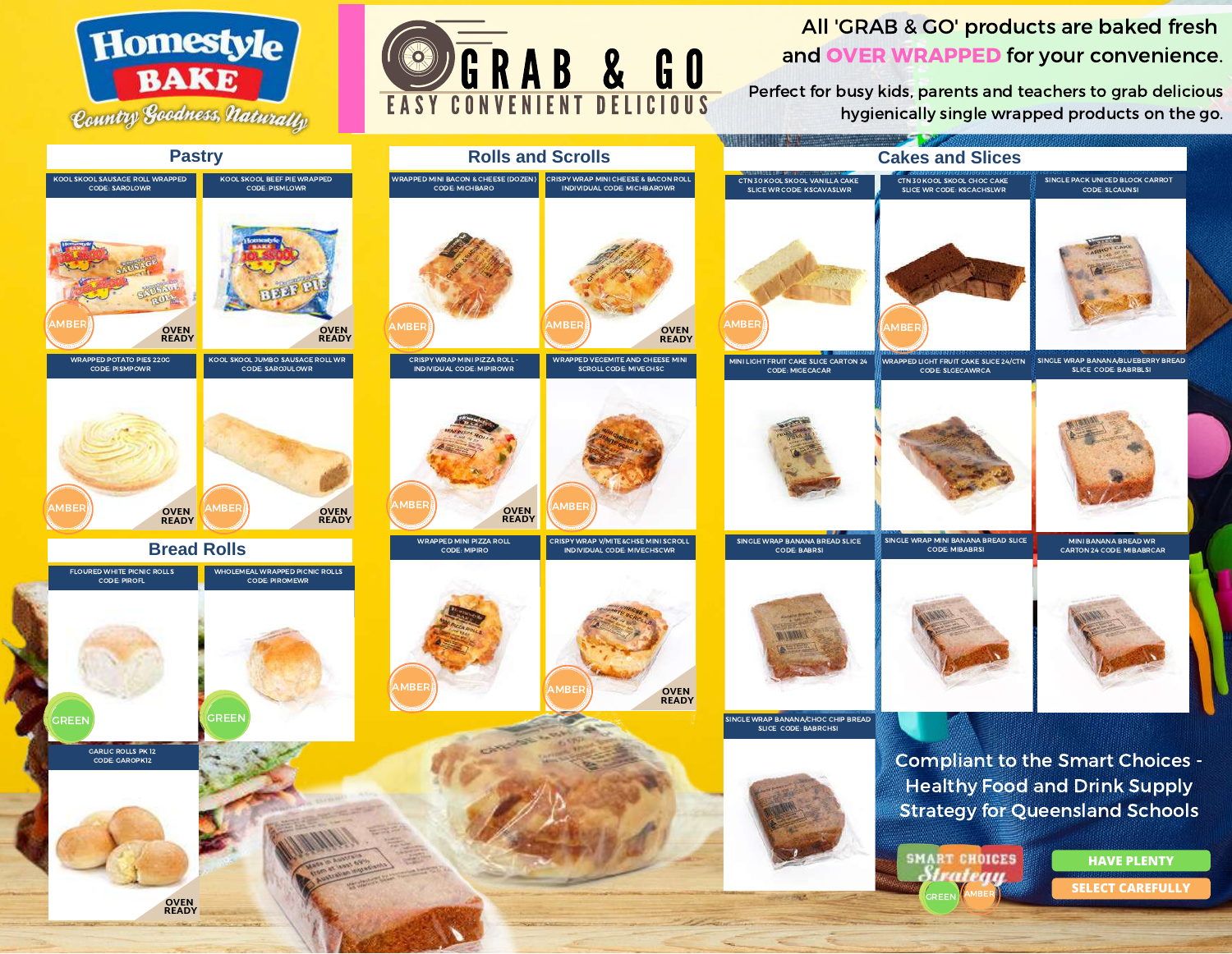



All 'GRAB & GO' products are baked fresh and OVER WRAPPED for your convenience.

Perfect for busy kids, parents and teachers to grab delicious hygienically single wrapped products on the go.